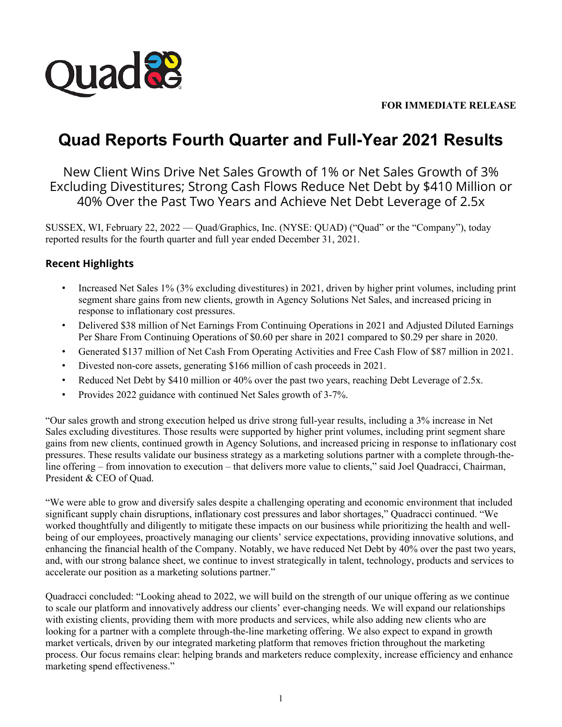

## **FOR IMMEDIATE RELEASE**

# **Quad Reports Fourth Quarter and Full-Year 2021 Results**

New Client Wins Drive Net Sales Growth of 1% or Net Sales Growth of 3% Excluding Divestitures; Strong Cash Flows Reduce Net Debt by \$410 Million or 40% Over the Past Two Years and Achieve Net Debt Leverage of 2.5x

SUSSEX, WI, February 22, 2022 — Quad/Graphics, Inc. (NYSE: QUAD) ("Quad" or the "Company"), today reported results for the fourth quarter and full year ended December 31, 2021.

## **Recent Highlights**

- Increased Net Sales 1% (3% excluding divestitures) in 2021, driven by higher print volumes, including print segment share gains from new clients, growth in Agency Solutions Net Sales, and increased pricing in response to inflationary cost pressures.
- Delivered \$38 million of Net Earnings From Continuing Operations in 2021 and Adjusted Diluted Earnings Per Share From Continuing Operations of \$0.60 per share in 2021 compared to \$0.29 per share in 2020.
- Generated \$137 million of Net Cash From Operating Activities and Free Cash Flow of \$87 million in 2021.
- Divested non-core assets, generating \$166 million of cash proceeds in 2021.
- Reduced Net Debt by \$410 million or 40% over the past two years, reaching Debt Leverage of 2.5x.
- Provides 2022 guidance with continued Net Sales growth of 3-7%.

"Our sales growth and strong execution helped us drive strong full-year results, including a 3% increase in Net Sales excluding divestitures. Those results were supported by higher print volumes, including print segment share gains from new clients, continued growth in Agency Solutions, and increased pricing in response to inflationary cost pressures. These results validate our business strategy as a marketing solutions partner with a complete through-theline offering – from innovation to execution – that delivers more value to clients," said Joel Quadracci, Chairman, President & CEO of Quad.

"We were able to grow and diversify sales despite a challenging operating and economic environment that included significant supply chain disruptions, inflationary cost pressures and labor shortages," Quadracci continued. "We worked thoughtfully and diligently to mitigate these impacts on our business while prioritizing the health and wellbeing of our employees, proactively managing our clients' service expectations, providing innovative solutions, and enhancing the financial health of the Company. Notably, we have reduced Net Debt by 40% over the past two years, and, with our strong balance sheet, we continue to invest strategically in talent, technology, products and services to accelerate our position as a marketing solutions partner."

Quadracci concluded: "Looking ahead to 2022, we will build on the strength of our unique offering as we continue to scale our platform and innovatively address our clients' ever-changing needs. We will expand our relationships with existing clients, providing them with more products and services, while also adding new clients who are looking for a partner with a complete through-the-line marketing offering. We also expect to expand in growth market verticals, driven by our integrated marketing platform that removes friction throughout the marketing process. Our focus remains clear: helping brands and marketers reduce complexity, increase efficiency and enhance marketing spend effectiveness."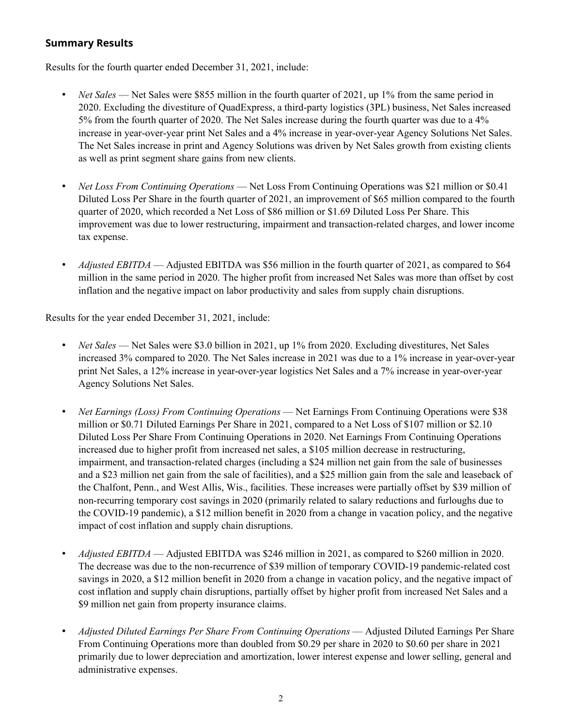## **Summary Results**

Results for the fourth quarter ended December 31, 2021, include:

- *Net Sales* Net Sales were \$855 million in the fourth quarter of 2021, up 1% from the same period in 2020. Excluding the divestiture of QuadExpress, a third-party logistics (3PL) business, Net Sales increased 5% from the fourth quarter of 2020. The Net Sales increase during the fourth quarter was due to a 4% increase in year-over-year print Net Sales and a 4% increase in year-over-year Agency Solutions Net Sales. The Net Sales increase in print and Agency Solutions was driven by Net Sales growth from existing clients as well as print segment share gains from new clients.
- *Net Loss From Continuing Operations* Net Loss From Continuing Operations was \$21 million or \$0.41 Diluted Loss Per Share in the fourth quarter of 2021, an improvement of \$65 million compared to the fourth quarter of 2020, which recorded a Net Loss of \$86 million or \$1.69 Diluted Loss Per Share. This improvement was due to lower restructuring, impairment and transaction-related charges, and lower income tax expense.
- *Adjusted EBITDA* Adjusted EBITDA was \$56 million in the fourth quarter of 2021, as compared to \$64 million in the same period in 2020. The higher profit from increased Net Sales was more than offset by cost inflation and the negative impact on labor productivity and sales from supply chain disruptions.

Results for the year ended December 31, 2021, include:

- *Net Sales* Net Sales were \$3.0 billion in 2021, up 1% from 2020. Excluding divestitures, Net Sales increased 3% compared to 2020. The Net Sales increase in 2021 was due to a 1% increase in year-over-year print Net Sales, a 12% increase in year-over-year logistics Net Sales and a 7% increase in year-over-year Agency Solutions Net Sales.
- *Net Earnings (Loss) From Continuing Operations* Net Earnings From Continuing Operations were \$38 million or \$0.71 Diluted Earnings Per Share in 2021, compared to a Net Loss of \$107 million or \$2.10 Diluted Loss Per Share From Continuing Operations in 2020. Net Earnings From Continuing Operations increased due to higher profit from increased net sales, a \$105 million decrease in restructuring, impairment, and transaction-related charges (including a \$24 million net gain from the sale of businesses and a \$23 million net gain from the sale of facilities), and a \$25 million gain from the sale and leaseback of the Chalfont, Penn., and West Allis, Wis., facilities. These increases were partially offset by \$39 million of non-recurring temporary cost savings in 2020 (primarily related to salary reductions and furloughs due to the COVID-19 pandemic), a \$12 million benefit in 2020 from a change in vacation policy, and the negative impact of cost inflation and supply chain disruptions.
- *Adjusted EBITDA*  Adjusted EBITDA was \$246 million in 2021, as compared to \$260 million in 2020. The decrease was due to the non-recurrence of \$39 million of temporary COVID-19 pandemic-related cost savings in 2020, a \$12 million benefit in 2020 from a change in vacation policy, and the negative impact of cost inflation and supply chain disruptions, partially offset by higher profit from increased Net Sales and a \$9 million net gain from property insurance claims.
- *Adjusted Diluted Earnings Per Share From Continuing Operations* Adjusted Diluted Earnings Per Share From Continuing Operations more than doubled from \$0.29 per share in 2020 to \$0.60 per share in 2021 primarily due to lower depreciation and amortization, lower interest expense and lower selling, general and administrative expenses.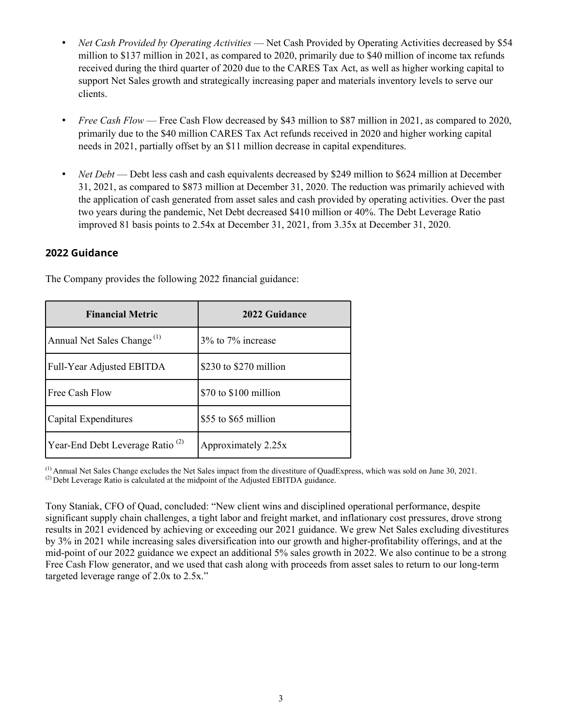- *Net Cash Provided by Operating Activities* Net Cash Provided by Operating Activities decreased by \$54 million to \$137 million in 2021, as compared to 2020, primarily due to \$40 million of income tax refunds received during the third quarter of 2020 due to the CARES Tax Act, as well as higher working capital to support Net Sales growth and strategically increasing paper and materials inventory levels to serve our clients.
- *Free Cash Flow* Free Cash Flow decreased by \$43 million to \$87 million in 2021, as compared to 2020, primarily due to the \$40 million CARES Tax Act refunds received in 2020 and higher working capital needs in 2021, partially offset by an \$11 million decrease in capital expenditures.
- *Net Debt* Debt less cash and cash equivalents decreased by \$249 million to \$624 million at December 31, 2021, as compared to \$873 million at December 31, 2020. The reduction was primarily achieved with the application of cash generated from asset sales and cash provided by operating activities. Over the past two years during the pandemic, Net Debt decreased \$410 million or 40%. The Debt Leverage Ratio improved 81 basis points to 2.54x at December 31, 2021, from 3.35x at December 31, 2020.

#### **2022 Guidance**

The Company provides the following 2022 financial guidance:

| <b>Financial Metric</b>                     | 2022 Guidance          |
|---------------------------------------------|------------------------|
| Annual Net Sales Change <sup>(1)</sup>      | 3% to 7% increase      |
| Full-Year Adjusted EBITDA                   | \$230 to \$270 million |
| Free Cash Flow                              | \$70 to \$100 million  |
| Capital Expenditures                        | \$55 to \$65 million   |
| Year-End Debt Leverage Ratio <sup>(2)</sup> | Approximately 2.25x    |

(1) Annual Net Sales Change excludes the Net Sales impact from the divestiture of QuadExpress, which was sold on June 30, 2021.

 $^{(2)}$  Debt Leverage Ratio is calculated at the midpoint of the Adjusted EBITDA guidance.

Tony Staniak, CFO of Quad, concluded: "New client wins and disciplined operational performance, despite significant supply chain challenges, a tight labor and freight market, and inflationary cost pressures, drove strong results in 2021 evidenced by achieving or exceeding our 2021 guidance. We grew Net Sales excluding divestitures by 3% in 2021 while increasing sales diversification into our growth and higher-profitability offerings, and at the mid-point of our 2022 guidance we expect an additional 5% sales growth in 2022. We also continue to be a strong Free Cash Flow generator, and we used that cash along with proceeds from asset sales to return to our long-term targeted leverage range of 2.0x to 2.5x."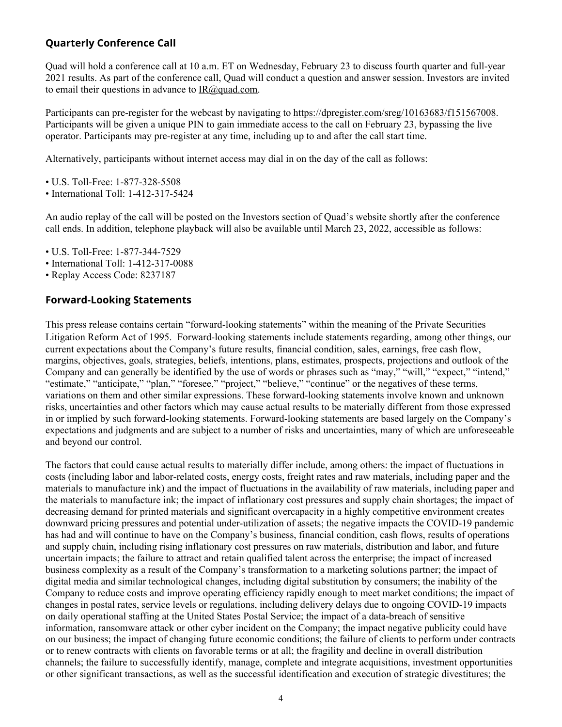## **Quarterly Conference Call**

Quad will hold a conference call at 10 a.m. ET on Wednesday, February 23 to discuss fourth quarter and full-year 2021 results. As part of the conference call, Quad will conduct a question and answer session. Investors are invited to email their questions in advance to  $IR(\omega)$  and com.

Participants can pre-register for the webcast by navigating to https://dpregister.com/sreg/10163683/f151567008. Participants will be given a unique PIN to gain immediate access to the call on February 23, bypassing the live operator. Participants may pre-register at any time, including up to and after the call start time.

Alternatively, participants without internet access may dial in on the day of the call as follows:

- U.S. Toll-Free: 1-877-328-5508
- International Toll: 1-412-317-5424

An audio replay of the call will be posted on the Investors section of Quad's website shortly after the conference call ends. In addition, telephone playback will also be available until March 23, 2022, accessible as follows:

- U.S. Toll-Free: 1-877-344-7529
- International Toll: 1-412-317-0088
- Replay Access Code: 8237187

## **Forward-Looking Statements**

This press release contains certain "forward-looking statements" within the meaning of the Private Securities Litigation Reform Act of 1995. Forward-looking statements include statements regarding, among other things, our current expectations about the Company's future results, financial condition, sales, earnings, free cash flow, margins, objectives, goals, strategies, beliefs, intentions, plans, estimates, prospects, projections and outlook of the Company and can generally be identified by the use of words or phrases such as "may," "will," "expect," "intend," "estimate," "anticipate," "plan," "foresee," "project," "believe," "continue" or the negatives of these terms, variations on them and other similar expressions. These forward-looking statements involve known and unknown risks, uncertainties and other factors which may cause actual results to be materially different from those expressed in or implied by such forward-looking statements. Forward-looking statements are based largely on the Company's expectations and judgments and are subject to a number of risks and uncertainties, many of which are unforeseeable and beyond our control.

The factors that could cause actual results to materially differ include, among others: the impact of fluctuations in costs (including labor and labor-related costs, energy costs, freight rates and raw materials, including paper and the materials to manufacture ink) and the impact of fluctuations in the availability of raw materials, including paper and the materials to manufacture ink; the impact of inflationary cost pressures and supply chain shortages; the impact of decreasing demand for printed materials and significant overcapacity in a highly competitive environment creates downward pricing pressures and potential under-utilization of assets; the negative impacts the COVID-19 pandemic has had and will continue to have on the Company's business, financial condition, cash flows, results of operations and supply chain, including rising inflationary cost pressures on raw materials, distribution and labor, and future uncertain impacts; the failure to attract and retain qualified talent across the enterprise; the impact of increased business complexity as a result of the Company's transformation to a marketing solutions partner; the impact of digital media and similar technological changes, including digital substitution by consumers; the inability of the Company to reduce costs and improve operating efficiency rapidly enough to meet market conditions; the impact of changes in postal rates, service levels or regulations, including delivery delays due to ongoing COVID-19 impacts on daily operational staffing at the United States Postal Service; the impact of a data-breach of sensitive information, ransomware attack or other cyber incident on the Company; the impact negative publicity could have on our business; the impact of changing future economic conditions; the failure of clients to perform under contracts or to renew contracts with clients on favorable terms or at all; the fragility and decline in overall distribution channels; the failure to successfully identify, manage, complete and integrate acquisitions, investment opportunities or other significant transactions, as well as the successful identification and execution of strategic divestitures; the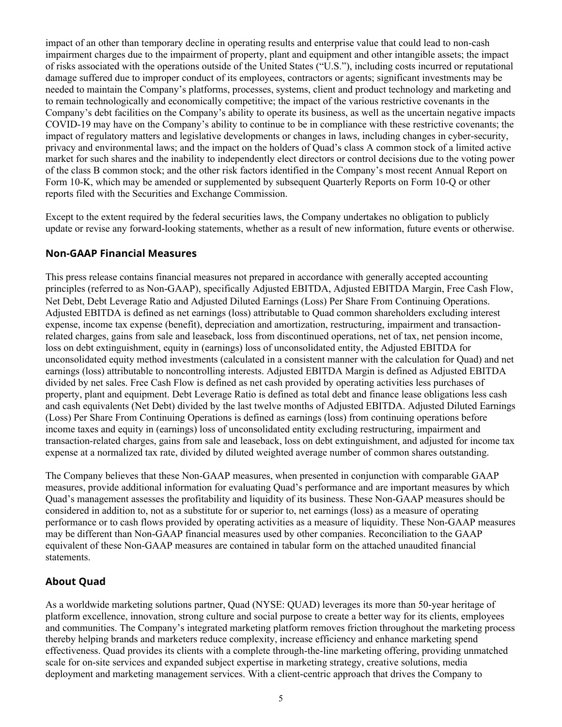impact of an other than temporary decline in operating results and enterprise value that could lead to non-cash impairment charges due to the impairment of property, plant and equipment and other intangible assets; the impact of risks associated with the operations outside of the United States ("U.S."), including costs incurred or reputational damage suffered due to improper conduct of its employees, contractors or agents; significant investments may be needed to maintain the Company's platforms, processes, systems, client and product technology and marketing and to remain technologically and economically competitive; the impact of the various restrictive covenants in the Company's debt facilities on the Company's ability to operate its business, as well as the uncertain negative impacts COVID-19 may have on the Company's ability to continue to be in compliance with these restrictive covenants; the impact of regulatory matters and legislative developments or changes in laws, including changes in cyber-security, privacy and environmental laws; and the impact on the holders of Quad's class A common stock of a limited active market for such shares and the inability to independently elect directors or control decisions due to the voting power of the class B common stock; and the other risk factors identified in the Company's most recent Annual Report on Form 10-K, which may be amended or supplemented by subsequent Quarterly Reports on Form 10-Q or other reports filed with the Securities and Exchange Commission.

Except to the extent required by the federal securities laws, the Company undertakes no obligation to publicly update or revise any forward-looking statements, whether as a result of new information, future events or otherwise.

## **Non-GAAP Financial Measures**

This press release contains financial measures not prepared in accordance with generally accepted accounting principles (referred to as Non-GAAP), specifically Adjusted EBITDA, Adjusted EBITDA Margin, Free Cash Flow, Net Debt, Debt Leverage Ratio and Adjusted Diluted Earnings (Loss) Per Share From Continuing Operations. Adjusted EBITDA is defined as net earnings (loss) attributable to Quad common shareholders excluding interest expense, income tax expense (benefit), depreciation and amortization, restructuring, impairment and transactionrelated charges, gains from sale and leaseback, loss from discontinued operations, net of tax, net pension income, loss on debt extinguishment, equity in (earnings) loss of unconsolidated entity, the Adjusted EBITDA for unconsolidated equity method investments (calculated in a consistent manner with the calculation for Quad) and net earnings (loss) attributable to noncontrolling interests. Adjusted EBITDA Margin is defined as Adjusted EBITDA divided by net sales. Free Cash Flow is defined as net cash provided by operating activities less purchases of property, plant and equipment. Debt Leverage Ratio is defined as total debt and finance lease obligations less cash and cash equivalents (Net Debt) divided by the last twelve months of Adjusted EBITDA. Adjusted Diluted Earnings (Loss) Per Share From Continuing Operations is defined as earnings (loss) from continuing operations before income taxes and equity in (earnings) loss of unconsolidated entity excluding restructuring, impairment and transaction-related charges, gains from sale and leaseback, loss on debt extinguishment, and adjusted for income tax expense at a normalized tax rate, divided by diluted weighted average number of common shares outstanding.

The Company believes that these Non-GAAP measures, when presented in conjunction with comparable GAAP measures, provide additional information for evaluating Quad's performance and are important measures by which Quad's management assesses the profitability and liquidity of its business. These Non-GAAP measures should be considered in addition to, not as a substitute for or superior to, net earnings (loss) as a measure of operating performance or to cash flows provided by operating activities as a measure of liquidity. These Non-GAAP measures may be different than Non-GAAP financial measures used by other companies. Reconciliation to the GAAP equivalent of these Non-GAAP measures are contained in tabular form on the attached unaudited financial statements.

## **About Quad**

As a worldwide marketing solutions partner, Quad (NYSE: QUAD) leverages its more than 50-year heritage of platform excellence, innovation, strong culture and social purpose to create a better way for its clients, employees and communities. The Company's integrated marketing platform removes friction throughout the marketing process thereby helping brands and marketers reduce complexity, increase efficiency and enhance marketing spend effectiveness. Quad provides its clients with a complete through-the-line marketing offering, providing unmatched scale for on-site services and expanded subject expertise in marketing strategy, creative solutions, media deployment and marketing management services. With a client-centric approach that drives the Company to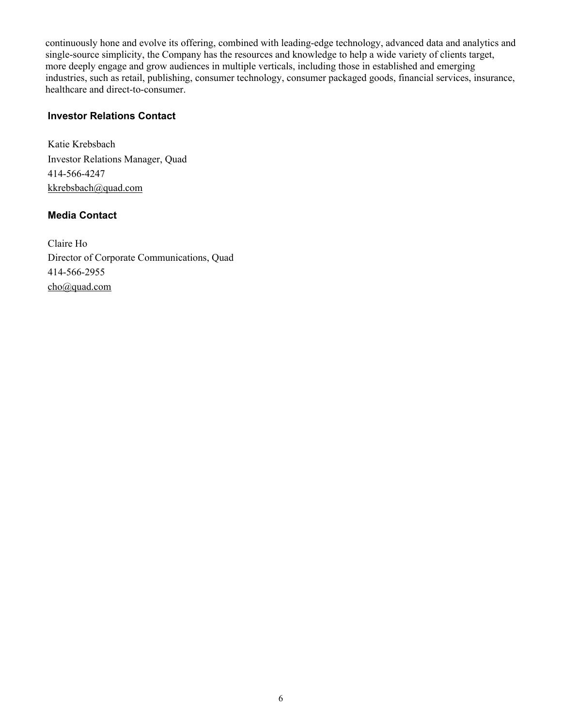continuously hone and evolve its offering, combined with leading-edge technology, advanced data and analytics and single-source simplicity, the Company has the resources and knowledge to help a wide variety of clients target, more deeply engage and grow audiences in multiple verticals, including those in established and emerging industries, such as retail, publishing, consumer technology, consumer packaged goods, financial services, insurance, healthcare and direct-to-consumer.

## **Investor Relations Contact**

Katie Krebsbach Investor Relations Manager, Quad 414-566-4247 kkrebsbach@quad.com

## **Media Contact**

Claire Ho Director of Corporate Communications, Quad 414-566-2955 cho@quad.com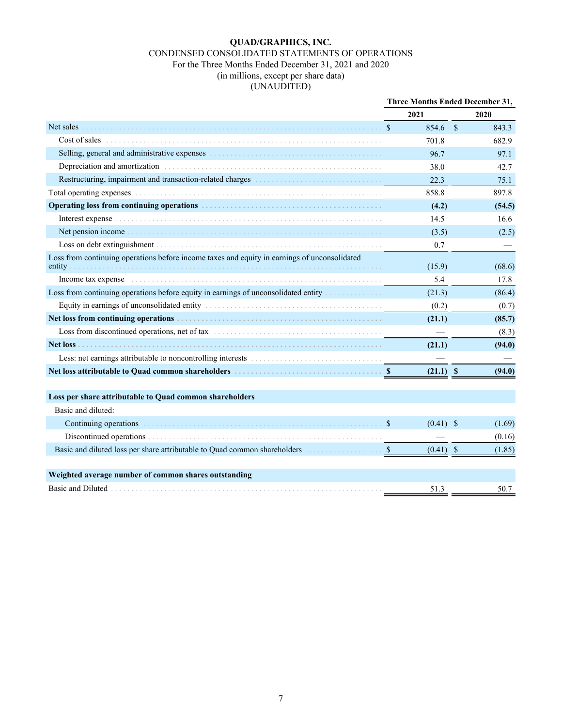## **QUAD/GRAPHICS, INC.**

## CONDENSED CONSOLIDATED STATEMENTS OF OPERATIONS

#### For the Three Months Ended December 31, 2021 and 2020

(in millions, except per share data)

## (UNAUDITED)

|                                                                                                                                                                                                                                | Three Months Ended December 31, |             |  |        |
|--------------------------------------------------------------------------------------------------------------------------------------------------------------------------------------------------------------------------------|---------------------------------|-------------|--|--------|
|                                                                                                                                                                                                                                |                                 | 2021        |  | 2020   |
| Net sales                                                                                                                                                                                                                      | <sup>S</sup>                    | 854.6 \$    |  | 843.3  |
| Cost of sales                                                                                                                                                                                                                  |                                 | 701.8       |  | 682.9  |
|                                                                                                                                                                                                                                |                                 | 96.7        |  | 97.1   |
| Depreciation and amortization entries are all the contract of the contract of the contract of the contract of the contract of the contract of the contract of the contract of the contract of the contract of the contract of  |                                 | 38.0        |  | 42.7   |
|                                                                                                                                                                                                                                |                                 | 22.3        |  | 75.1   |
| Total operating expenses excellent contained and contained a state of the state of the state of the state of the state of the state of the state of the state of the state of the state of the state of the state of the state |                                 | 858.8       |  | 897.8  |
|                                                                                                                                                                                                                                |                                 | (4.2)       |  | (54.5) |
|                                                                                                                                                                                                                                |                                 | 14.5        |  | 16.6   |
| Net pension income                                                                                                                                                                                                             |                                 | (3.5)       |  | (2.5)  |
|                                                                                                                                                                                                                                |                                 | 0.7         |  |        |
| Loss from continuing operations before income taxes and equity in earnings of unconsolidated<br>entity                                                                                                                         |                                 | (15.9)      |  | (68.6) |
| Income tax expense in the contract of the contract of the contract of the contract of the contract of the contract of the contract of the contract of the contract of the contract of the contract of the contract of the cont |                                 | 5.4         |  | 17.8   |
| Loss from continuing operations before equity in earnings of unconsolidated entity                                                                                                                                             |                                 | (21.3)      |  | (86.4) |
| Equity in earnings of unconsolidated entity entity and according to the control of the set of the set of the set of the set of the set of the set of the set of the set of the set of the set of the set of the set of the set |                                 | (0.2)       |  | (0.7)  |
|                                                                                                                                                                                                                                |                                 | (21.1)      |  | (85.7) |
| Loss from discontinued operations, net of tax                                                                                                                                                                                  |                                 |             |  | (8.3)  |
|                                                                                                                                                                                                                                |                                 | (21.1)      |  | (94.0) |
|                                                                                                                                                                                                                                |                                 |             |  |        |
|                                                                                                                                                                                                                                |                                 | $(21.1)$ \$ |  | (94.0) |
|                                                                                                                                                                                                                                |                                 |             |  |        |
| Loss per share attributable to Quad common shareholders                                                                                                                                                                        |                                 |             |  |        |
| Basic and diluted:                                                                                                                                                                                                             |                                 |             |  |        |
| Continuing operations<br>The continuing operations<br>The continuing operations<br>The continuing operations                                                                                                                   | $\mathbb{S}$                    | $(0.41)$ \$ |  | (1.69) |
|                                                                                                                                                                                                                                |                                 |             |  | (0.16) |
| Basic and diluted loss per share attributable to Quad common shareholders <b>Exeting Constant State</b>                                                                                                                        |                                 | $(0.41)$ \$ |  | (1.85) |
| Weighted average number of common shares outstanding                                                                                                                                                                           |                                 |             |  |        |
|                                                                                                                                                                                                                                |                                 | 51.3        |  | 50.7   |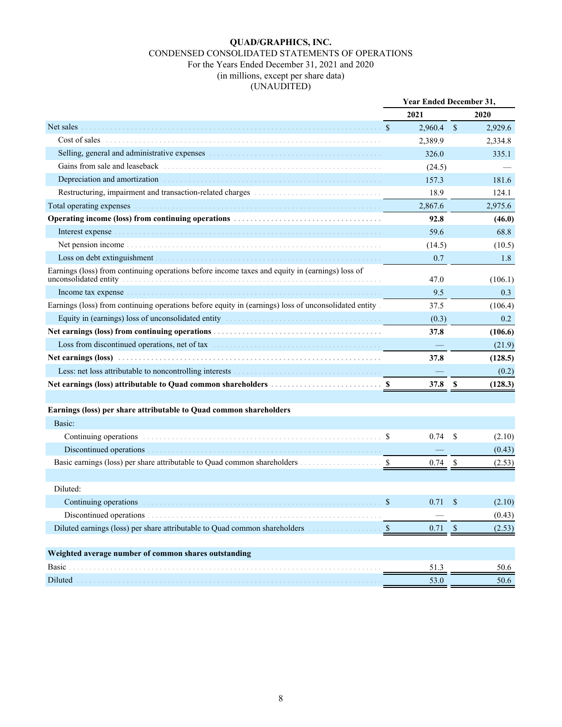#### **QUAD/GRAPHICS, INC.** CONDENSED CONSOLIDATED STATEMENTS OF OPERATIONS For the Years Ended December 31, 2021 and 2020 (in millions, except per share data) (UNAUDITED)

|                                                                                                                                                                                                                                     | <b>Year Ended December 31,</b> |                 |               |         |
|-------------------------------------------------------------------------------------------------------------------------------------------------------------------------------------------------------------------------------------|--------------------------------|-----------------|---------------|---------|
|                                                                                                                                                                                                                                     |                                | 2021            |               | 2020    |
| Net sales                                                                                                                                                                                                                           | $\mathcal{S}$                  | $2,960.4$ \$    |               | 2,929.6 |
| Cost of sales                                                                                                                                                                                                                       |                                | 2,389.9         |               | 2,334.8 |
|                                                                                                                                                                                                                                     |                                | 326.0           |               | 335.1   |
|                                                                                                                                                                                                                                     |                                | (24.5)          |               |         |
| Depreciation and amortization entries are all the contract of the contract of the contract of the contract of the contract of the contract of the contract of the contract of the contract of the contract of the contract of       |                                | 157.3           |               | 181.6   |
| Restructuring, impairment and transaction-related charges [11] [11] Restructuring, impairment and transaction-related charges                                                                                                       |                                | 18.9            |               | 124.1   |
| Total operating expenses                                                                                                                                                                                                            |                                | 2,867.6         |               | 2,975.6 |
|                                                                                                                                                                                                                                     |                                | 92.8            |               | (46.0)  |
|                                                                                                                                                                                                                                     |                                | 59.6            |               | 68.8    |
|                                                                                                                                                                                                                                     |                                | (14.5)          |               | (10.5)  |
| Loss on debt extinguishment entertainment and the state of the state of the state of the state of the state of the state of the state of the state of the state of the state of the state of the state of the state of the sta      |                                | 0.7             |               | 1.8     |
| Earnings (loss) from continuing operations before income taxes and equity in (earnings) loss of<br>unconsolidated entity                                                                                                            |                                | 47.0            |               | (106.1) |
|                                                                                                                                                                                                                                     |                                | 9.5             |               | 0.3     |
| Earnings (loss) from continuing operations before equity in (earnings) loss of unconsolidated entity.                                                                                                                               |                                | 37.5            |               | (106.4) |
|                                                                                                                                                                                                                                     |                                | (0.3)           |               | 0.2     |
|                                                                                                                                                                                                                                     |                                | 37.8            |               | (106.6) |
| Loss from discontinued operations, net of tax                                                                                                                                                                                       |                                |                 |               | (21.9)  |
|                                                                                                                                                                                                                                     |                                | 37.8            |               | (128.5) |
|                                                                                                                                                                                                                                     |                                |                 |               | (0.2)   |
|                                                                                                                                                                                                                                     |                                | 37.8            | - \$          | (128.3) |
| Earnings (loss) per share attributable to Quad common shareholders                                                                                                                                                                  |                                |                 |               |         |
| Basic:                                                                                                                                                                                                                              |                                |                 |               |         |
| Continuing operations in the continuing of the continuing operations in the continuing of $\mathcal{S}$                                                                                                                             |                                | 0.74            | -S            | (2.10)  |
| Discontinued operations                                                                                                                                                                                                             |                                |                 |               | (0.43)  |
| Basic earnings (loss) per share attributable to Quad common shareholders \$                                                                                                                                                         |                                | $0.74$ \$       |               | (2.53)  |
|                                                                                                                                                                                                                                     |                                |                 |               |         |
| Diluted:                                                                                                                                                                                                                            |                                |                 |               |         |
| <b>Continuing operations</b> entertainment continuous continuous continuous continuous continuous continuous continuous continuous continuous continuous continuous continuous continuous continuous continuous continuous continuo | $\mathcal{S}$                  | 0.71            | <sup>\$</sup> | (2.10)  |
| Discontinued operations                                                                                                                                                                                                             |                                |                 |               | (0.43)  |
| Diluted earnings (loss) per share attributable to Quad common shareholders manufactured and common shareholders                                                                                                                     | $\mathcal{S}$                  | $0.71 \quad$ \$ |               | (2.53)  |
| Weighted average number of common shares outstanding                                                                                                                                                                                |                                |                 |               |         |
| Basic                                                                                                                                                                                                                               |                                | 51.3            |               | 50.6    |
| Diluted                                                                                                                                                                                                                             |                                | 53.0            |               | 50.6    |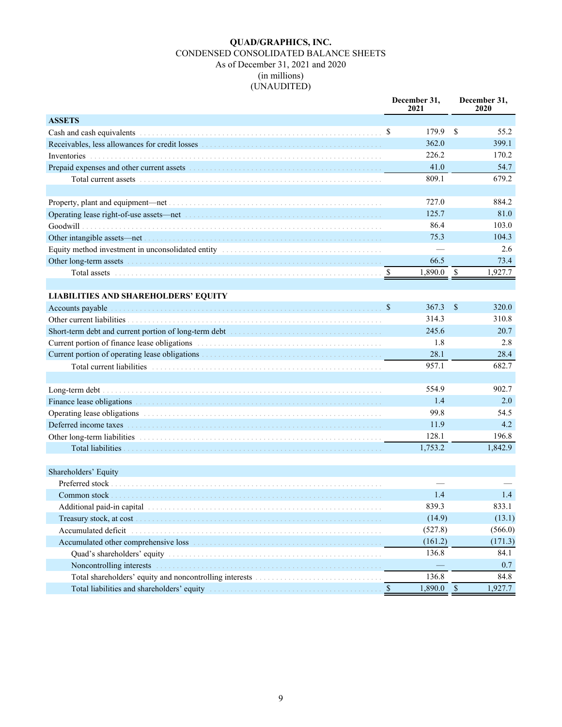#### **QUAD/GRAPHICS, INC.** CONDENSED CONSOLIDATED BALANCE SHEETS As of December 31, 2021 and 2020 (in millions) (UNAUDITED)

|                                                                                                                                                                                                                                 |               | December 31,<br>2021 |                        | December 31,<br>2020 |
|---------------------------------------------------------------------------------------------------------------------------------------------------------------------------------------------------------------------------------|---------------|----------------------|------------------------|----------------------|
| <b>ASSETS</b>                                                                                                                                                                                                                   |               |                      |                        |                      |
|                                                                                                                                                                                                                                 |               | 179.9                | $\mathbb{S}$           | 55.2                 |
|                                                                                                                                                                                                                                 |               | 362.0                |                        | 399.1                |
|                                                                                                                                                                                                                                 |               | 226.2                |                        | 170.2                |
| Prepaid expenses and other current assets entertainment of the state of the state of the state of the state of the state of the state of the state of the state of the state of the state of the state of the state of the sta  |               | 41.0                 |                        | 54.7                 |
|                                                                                                                                                                                                                                 |               | 809.1                |                        | 679.2                |
|                                                                                                                                                                                                                                 |               |                      |                        |                      |
|                                                                                                                                                                                                                                 |               | 727.0                |                        | 884.2                |
| Operating lease right-of-use assets—net manufactured contained and the set of the set of the set of the set of the set of the set of the set of the set of the set of the set of the set of the set of the set of the set of t  |               | 125.7                |                        | 81.0                 |
|                                                                                                                                                                                                                                 |               | 86.4                 |                        | 103.0                |
|                                                                                                                                                                                                                                 |               | 75.3                 |                        | 104.3                |
|                                                                                                                                                                                                                                 |               |                      |                        | 2.6                  |
| Other long-term assets in the contract of the contract of the contract of the contract of the contract of the contract of the contract of the contract of the contract of the contract of the contract of the contract of the   |               | 66.5                 |                        | 73.4                 |
|                                                                                                                                                                                                                                 |               | 1,890.0              | $\mathbf{\mathcal{S}}$ | 1,927.7              |
|                                                                                                                                                                                                                                 |               |                      |                        |                      |
| <b>LIABILITIES AND SHAREHOLDERS' EQUITY</b>                                                                                                                                                                                     |               |                      |                        |                      |
| Accounts payable                                                                                                                                                                                                                | $\mathcal{S}$ | 367.3                | $\mathbb{S}$           | 320.0                |
| Other current liabilities.                                                                                                                                                                                                      |               | 314.3                |                        | 310.8                |
|                                                                                                                                                                                                                                 |               | 245.6                |                        | 20.7                 |
| Current portion of finance lease obligations<br>The contract of the contract of the contract of the contract of the contract of the contract of the contract of the contract of the contract of the contract of the contract of |               | 1.8                  |                        | 2.8                  |
|                                                                                                                                                                                                                                 |               | 28.1                 |                        | 28.4                 |
|                                                                                                                                                                                                                                 |               | 957.1                |                        | 682.7                |
|                                                                                                                                                                                                                                 |               |                      |                        |                      |
|                                                                                                                                                                                                                                 |               | 554.9                |                        | 902.7                |
|                                                                                                                                                                                                                                 |               | 1.4                  |                        | 2.0                  |
| Operating lease obligations entertainment and the contract of the contract of the contract of the contract of the contract of the contract of the contract of the contract of the contract of the contract of the contract of   |               | 99.8                 |                        | 54.5                 |
| Deferred income taxes                                                                                                                                                                                                           |               | 11.9                 |                        | 4.2                  |
|                                                                                                                                                                                                                                 |               | 128.1                |                        | 196.8                |
|                                                                                                                                                                                                                                 |               | 1,753.2              |                        | 1,842.9              |
|                                                                                                                                                                                                                                 |               |                      |                        |                      |
| Shareholders' Equity                                                                                                                                                                                                            |               |                      |                        |                      |
|                                                                                                                                                                                                                                 |               |                      |                        |                      |
| Common stock                                                                                                                                                                                                                    |               | 1.4                  |                        | 1.4                  |
| Additional paid-in capital                                                                                                                                                                                                      |               | 839.3                |                        | 833.1                |
|                                                                                                                                                                                                                                 |               | (14.9)               |                        | (13.1)               |
| Accumulated deficit                                                                                                                                                                                                             |               | (527.8)              |                        | (566.0)              |
| Accumulated other comprehensive loss entertainment and the control of the control of the control of the control of the control of the control of the control of the control of the control of the control of the control of th  |               | (161.2)              |                        | (171.3)              |
|                                                                                                                                                                                                                                 |               | 136.8                |                        | 84.1                 |
| Noncontrolling interests                                                                                                                                                                                                        |               |                      |                        | 0.7                  |
|                                                                                                                                                                                                                                 |               | 136.8                |                        | 84.8                 |
| Total liabilities and shareholders' equity manufactured and shareholders' equity                                                                                                                                                | - \$          | $1,890.0$ \$         |                        | 1,927.7              |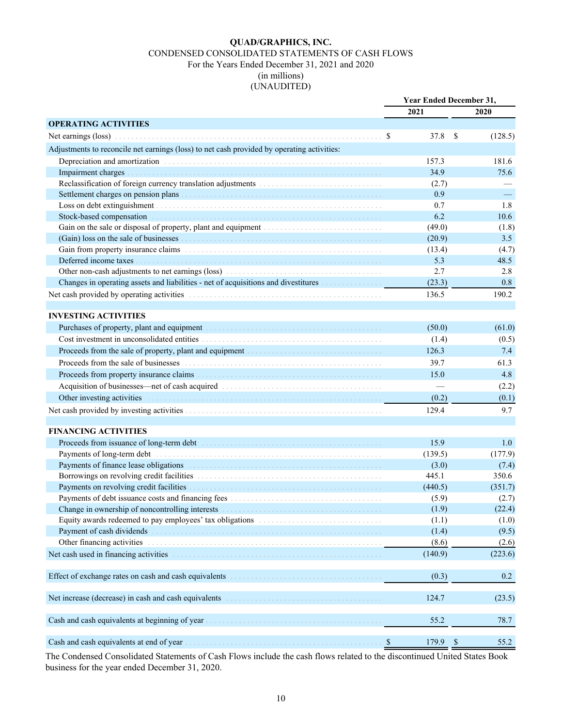#### **QUAD/GRAPHICS, INC.** CONDENSED CONSOLIDATED STATEMENTS OF CASH FLOWS For the Years Ended December 31, 2021 and 2020 (in millions) (UNAUDITED)

|                                                                                                                                                                                                                                  | <b>Year Ended December 31,</b> |               |         |
|----------------------------------------------------------------------------------------------------------------------------------------------------------------------------------------------------------------------------------|--------------------------------|---------------|---------|
|                                                                                                                                                                                                                                  | 2021                           |               | 2020    |
| <b>OPERATING ACTIVITIES</b>                                                                                                                                                                                                      |                                |               |         |
| Net earnings (loss) 3                                                                                                                                                                                                            | 37.8                           | -S            | (128.5) |
| Adjustments to reconcile net earnings (loss) to net cash provided by operating activities:                                                                                                                                       |                                |               |         |
|                                                                                                                                                                                                                                  | 157.3                          |               | 181.6   |
|                                                                                                                                                                                                                                  | 34.9                           |               | 75.6    |
|                                                                                                                                                                                                                                  | (2.7)                          |               |         |
| Settlement charges on pension plans                                                                                                                                                                                              | 0.9                            |               |         |
|                                                                                                                                                                                                                                  | 0.7                            |               | 1.8     |
|                                                                                                                                                                                                                                  | 6.2                            |               | 10.6    |
| Gain on the sale or disposal of property, plant and equipment encourage contained a set of the sale of the sale                                                                                                                  | (49.0)                         |               | (1.8)   |
|                                                                                                                                                                                                                                  | (20.9)                         |               | 3.5     |
| Gain from property insurance claims<br>The continuum of the continuum of the continuum of the continuum of the continuum of the continuum of the continuum of the continuum of the continuum of the continuum of the continuum o | (13.4)                         |               | (4.7)   |
|                                                                                                                                                                                                                                  | 5.3                            |               | 48.5    |
|                                                                                                                                                                                                                                  | 2.7                            |               | 2.8     |
| Changes in operating assets and liabilities - net of acquisitions and divestitures                                                                                                                                               | (23.3)                         |               | 0.8     |
| Net cash provided by operating activities entertainment of the state of the state of the state of the state of the state of the state of the state of the state of the state of the state of the state of the state of the sta   | 136.5                          |               | 190.2   |
|                                                                                                                                                                                                                                  |                                |               |         |
| <b>INVESTING ACTIVITIES</b>                                                                                                                                                                                                      |                                |               |         |
| Purchases of property, plant and equipment material contains a series of property, plant and equipment                                                                                                                           | (50.0)                         |               | (61.0)  |
|                                                                                                                                                                                                                                  | (1.4)                          |               | (0.5)   |
|                                                                                                                                                                                                                                  | 126.3                          |               | 7.4     |
| Proceeds from the sale of businesses in the contract of the sale of businesses in the sale of businesses in the sale of business and the sale of business and the sale of business and the sale of business and the sale of th   | 39.7                           |               | 61.3    |
|                                                                                                                                                                                                                                  | 15.0                           |               | 4.8     |
|                                                                                                                                                                                                                                  |                                |               | (2.2)   |
| Other investing activities                                                                                                                                                                                                       | (0.2)                          |               | (0.1)   |
|                                                                                                                                                                                                                                  | 129.4                          |               | 9.7     |
|                                                                                                                                                                                                                                  |                                |               |         |
| <b>FINANCING ACTIVITIES</b>                                                                                                                                                                                                      |                                |               |         |
|                                                                                                                                                                                                                                  | 15.9                           |               | 1.0     |
|                                                                                                                                                                                                                                  | (139.5)                        |               | (177.9) |
|                                                                                                                                                                                                                                  | (3.0)                          |               | (7.4)   |
| Borrowings on revolving credit facilities<br>The contract of the contract of the contract of the contract of the contract of the contract of the contract of the contract of the contract of the contract of the contract of the | 445.1                          |               | 350.6   |
|                                                                                                                                                                                                                                  | (440.5)                        |               | (351.7) |
|                                                                                                                                                                                                                                  | (5.9)                          |               | (2.7)   |
|                                                                                                                                                                                                                                  | (1.9)                          |               | (22.4)  |
| Equity awards redeemed to pay employees' tax obligations entertainment of the state of the state of the state of the state of the state of the state of the state of the state of the state of the state of the state of the s   | (1.1)                          |               | (1.0)   |
| Payment of cash dividends entertainment contains and the contact of cash dividends entertainment of cash dividends                                                                                                               | (1.4)                          |               | (9.5)   |
| Other financing activities entertainment and the control of the financing activities                                                                                                                                             | (8.6)                          |               | (2.6)   |
|                                                                                                                                                                                                                                  | (140.9)                        |               | (223.6) |
| Effect of exchange rates on cash and cash equivalents expressions of the state of exchange rates on cash and cash equivalents                                                                                                    | (0.3)                          |               | 0.2     |
| Net increase (decrease) in cash and cash equivalents                                                                                                                                                                             | 124.7                          |               | (23.5)  |
| Cash and cash equivalents at beginning of year                                                                                                                                                                                   | 55.2                           |               | 78.7    |
|                                                                                                                                                                                                                                  |                                |               |         |
| Cash and cash equivalents at end of year<br>$\boldsymbol{\mathsf{S}}$                                                                                                                                                            | 179.9                          | $\mathcal{S}$ | 55.2    |

The Condensed Consolidated Statements of Cash Flows include the cash flows related to the discontinued United States Book business for the year ended December 31, 2020.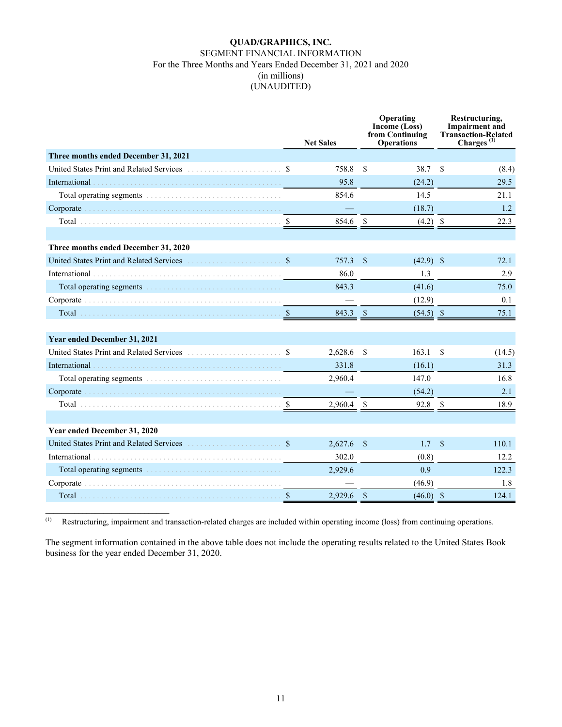#### **QUAD/GRAPHICS, INC.** SEGMENT FINANCIAL INFORMATION For the Three Months and Years Ended December 31, 2021 and 2020 (in millions) (UNAUDITED)

|                                                                                                                                                                                                                                | <b>Net Sales</b> |                    | Operating<br>Income (Loss)<br>from Continuing<br><b>Operations</b> |               | Restructuring,<br><b>Impairment</b> and<br><b>Transaction-Related</b><br>Charges <sup>(1)</sup> |
|--------------------------------------------------------------------------------------------------------------------------------------------------------------------------------------------------------------------------------|------------------|--------------------|--------------------------------------------------------------------|---------------|-------------------------------------------------------------------------------------------------|
| Three months ended December 31, 2021                                                                                                                                                                                           |                  |                    |                                                                    |               |                                                                                                 |
| United States Print and Related Services                                                                                                                                                                                       | 758.8            | $\mathcal{S}$      | 38.7                                                               | $\mathcal{S}$ | (8.4)                                                                                           |
|                                                                                                                                                                                                                                | 95.8             |                    | (24.2)                                                             |               | 29.5                                                                                            |
|                                                                                                                                                                                                                                | 854.6            |                    | 14.5                                                               |               | 21.1                                                                                            |
| Corporate (and a substitution of the corporate of the corporate of the corporate of the corporate of the corporation of the corporation of the corporation of the corporation of the corporation of the corporation of the cor |                  |                    | (18.7)                                                             |               | 1.2                                                                                             |
|                                                                                                                                                                                                                                | 854.6 \$         |                    | $(4.2)$ \$                                                         |               | 22.3                                                                                            |
|                                                                                                                                                                                                                                |                  |                    |                                                                    |               |                                                                                                 |
| Three months ended December 31, 2020                                                                                                                                                                                           |                  |                    |                                                                    |               |                                                                                                 |
|                                                                                                                                                                                                                                | 757.3            | $\mathbf S$        | $(42.9)$ \$                                                        |               | 72.1                                                                                            |
|                                                                                                                                                                                                                                | 86.0             |                    | 1.3                                                                |               | 2.9                                                                                             |
| Total operating segments entertainments and the second second second second second second second second second second second second second second second second second second second second second second second second second | 843.3            |                    | (41.6)                                                             |               | 75.0                                                                                            |
|                                                                                                                                                                                                                                |                  |                    | (12.9)                                                             |               | 0.1                                                                                             |
|                                                                                                                                                                                                                                | 843.3            | $\mathbf{s}$       | $(54.5)$ \$                                                        |               | 75.1                                                                                            |
| Year ended December 31, 2021                                                                                                                                                                                                   |                  |                    |                                                                    |               |                                                                                                 |
|                                                                                                                                                                                                                                | 2,628.6          | -\$                | 163.1                                                              | <sup>\$</sup> | (14.5)                                                                                          |
|                                                                                                                                                                                                                                | 331.8            |                    | (16.1)                                                             |               | 31.3                                                                                            |
|                                                                                                                                                                                                                                | 2,960.4          |                    | 147.0                                                              |               | 16.8                                                                                            |
|                                                                                                                                                                                                                                |                  |                    | (54.2)                                                             |               | 2.1                                                                                             |
|                                                                                                                                                                                                                                | $2,960.4$ \$     |                    | 92.8 \$                                                            |               | 18.9                                                                                            |
|                                                                                                                                                                                                                                |                  |                    |                                                                    |               |                                                                                                 |
| Year ended December 31, 2020                                                                                                                                                                                                   |                  |                    |                                                                    |               |                                                                                                 |
|                                                                                                                                                                                                                                | 2,627.6          | $\mathbf{\hat{s}}$ | 1.7                                                                | $\mathbf S$   | 110.1                                                                                           |
|                                                                                                                                                                                                                                | 302.0            |                    | (0.8)                                                              |               | 12.2                                                                                            |
| Total operating segments and contain the container and containing the contact of the contact of the contact of the contact of the contact of the contact of the contact of the contact of the contact of the contact of the co | 2.929.6          |                    | 0.9                                                                |               | 122.3                                                                                           |
|                                                                                                                                                                                                                                |                  |                    | (46.9)                                                             |               | 1.8                                                                                             |
|                                                                                                                                                                                                                                | 2,929.6          | $\mathbf{\hat{s}}$ | $(46.0)$ \$                                                        |               | 124.1                                                                                           |

(1) Restructuring, impairment and transaction-related charges are included within operating income (loss) from continuing operations.

The segment information contained in the above table does not include the operating results related to the United States Book business for the year ended December 31, 2020.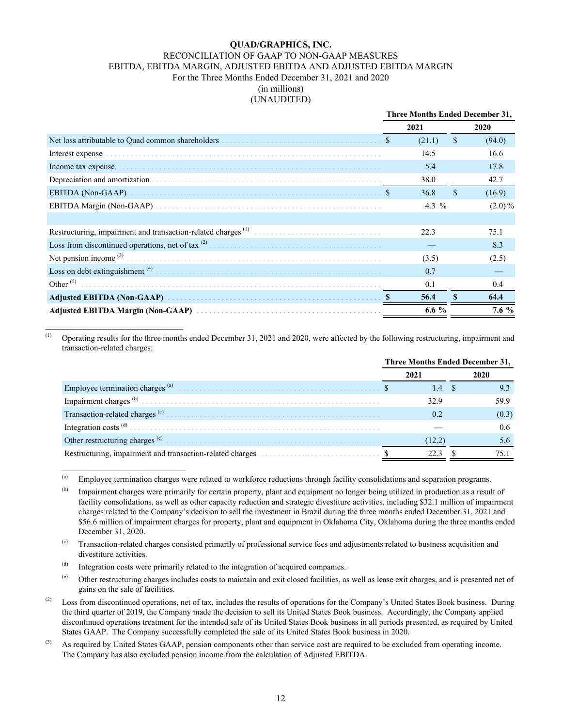#### **QUAD/GRAPHICS, INC.** RECONCILIATION OF GAAP TO NON-GAAP MEASURES EBITDA, EBITDA MARGIN, ADJUSTED EBITDA AND ADJUSTED EBITDA MARGIN For the Three Months Ended December 31, 2021 and 2020 (in millions) (UNAUDITED)

|                                                                                                                                                                                                                                | Three Months Ended December 31, |             |           |  |
|--------------------------------------------------------------------------------------------------------------------------------------------------------------------------------------------------------------------------------|---------------------------------|-------------|-----------|--|
|                                                                                                                                                                                                                                | 2021                            |             | 2020      |  |
| Net loss attributable to Quad common shareholders entertainment and set of set of set of set of set of set of s                                                                                                                | (21.1)                          | \$          | (94.0)    |  |
|                                                                                                                                                                                                                                | 14.5                            |             | 16.6      |  |
| Income tax expense expansional contract the contract of the contract of the contract of the contract of the contract of the contract of the contract of the contract of the contract of the contract of the contract of the co | 5.4                             |             | 17.8      |  |
|                                                                                                                                                                                                                                | 38.0                            |             | 42.7      |  |
|                                                                                                                                                                                                                                | 36.8                            | $\mathbf S$ | (16.9)    |  |
|                                                                                                                                                                                                                                | 4.3 $%$                         |             | $(2.0)\%$ |  |
|                                                                                                                                                                                                                                |                                 |             |           |  |
|                                                                                                                                                                                                                                | 22.3                            |             | 75.1      |  |
|                                                                                                                                                                                                                                |                                 |             | 8.3       |  |
|                                                                                                                                                                                                                                | (3.5)                           |             | (2.5)     |  |
| Loss on debt extinguishment $^{(4)}$ The contract of the contract of the contract of the contract of the contract of the contract of the contract of the contract of the contract of the contract of the contract of the co    | 0.7                             |             |           |  |
| Other $(5)$                                                                                                                                                                                                                    | 0.1                             |             | 0.4       |  |
|                                                                                                                                                                                                                                | 56.4                            |             | 64.4      |  |
|                                                                                                                                                                                                                                | 6.6 $%$                         |             | $7.6\%$   |  |

(1) Operating results for the three months ended December 31, 2021 and 2020, were affected by the following restructuring, impairment and transaction-related charges:

|                                             |  | <b>Three Months Ended December 31,</b> |  |       |
|---------------------------------------------|--|----------------------------------------|--|-------|
|                                             |  | 2021                                   |  | 2020  |
| Employee termination charges <sup>(a)</sup> |  | $\mathcal{A}$                          |  |       |
|                                             |  | 32.9                                   |  | .59 9 |
| Transaction-related charges <sup>(c)</sup>  |  | 02                                     |  | (0.3) |
|                                             |  |                                        |  | 0.6   |
|                                             |  | 12.2                                   |  |       |
|                                             |  |                                        |  |       |

<sup>(a)</sup> Employee termination charges were related to workforce reductions through facility consolidations and separation programs.

<sup>(b)</sup> Impairment charges were primarily for certain property, plant and equipment no longer being utilized in production as a result of facility consolidations, as well as other capacity reduction and strategic divestiture activities, including \$32.1 million of impairment charges related to the Company's decision to sell the investment in Brazil during the three months ended December 31, 2021 and \$56.6 million of impairment charges for property, plant and equipment in Oklahoma City, Oklahoma during the three months ended December 31, 2020.

(c) Transaction-related charges consisted primarily of professional service fees and adjustments related to business acquisition and divestiture activities.

 $<sup>(d)</sup>$  Integration costs were primarily related to the integration of acquired companies.</sup>

 $\mathcal{L}_\text{max}$  , where  $\mathcal{L}_\text{max}$  and  $\mathcal{L}_\text{max}$  and  $\mathcal{L}_\text{max}$ 

- (e) Other restructuring charges includes costs to maintain and exit closed facilities, as well as lease exit charges, and is presented net of gains on the sale of facilities.
- <sup>(2)</sup> Loss from discontinued operations, net of tax, includes the results of operations for the Company's United States Book business. During the third quarter of 2019, the Company made the decision to sell its United States Book business. Accordingly, the Company applied discontinued operations treatment for the intended sale of its United States Book business in all periods presented, as required by United States GAAP. The Company successfully completed the sale of its United States Book business in 2020.
- $^{(3)}$  As required by United States GAAP, pension components other than service cost are required to be excluded from operating income. The Company has also excluded pension income from the calculation of Adjusted EBITDA.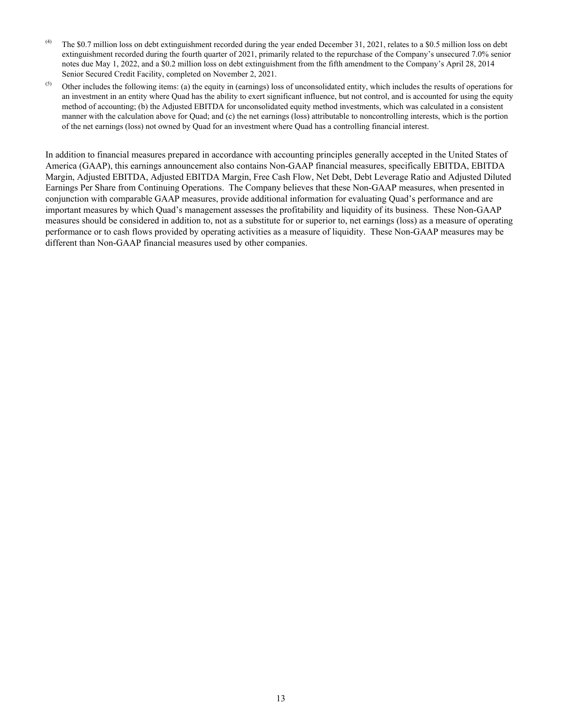- $^{(4)}$  The \$0.7 million loss on debt extinguishment recorded during the year ended December 31, 2021, relates to a \$0.5 million loss on debt extinguishment recorded during the fourth quarter of 2021, primarily related to the repurchase of the Company's unsecured 7.0% senior notes due May 1, 2022, and a \$0.2 million loss on debt extinguishment from the fifth amendment to the Company's April 28, 2014 Senior Secured Credit Facility, completed on November 2, 2021.
- $<sup>(5)</sup>$  Other includes the following items: (a) the equity in (earnings) loss of unconsolidated entity, which includes the results of operations for</sup> an investment in an entity where Quad has the ability to exert significant influence, but not control, and is accounted for using the equity method of accounting; (b) the Adjusted EBITDA for unconsolidated equity method investments, which was calculated in a consistent manner with the calculation above for Quad; and (c) the net earnings (loss) attributable to noncontrolling interests, which is the portion of the net earnings (loss) not owned by Quad for an investment where Quad has a controlling financial interest.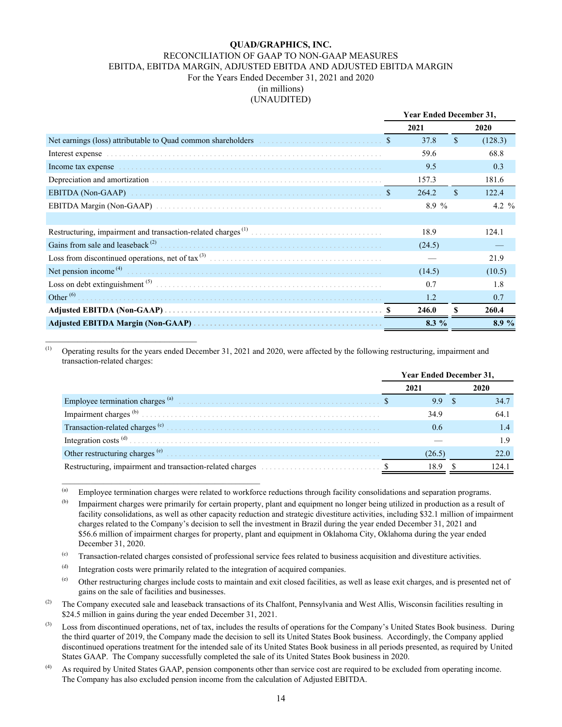#### **QUAD/GRAPHICS, INC.** RECONCILIATION OF GAAP TO NON-GAAP MEASURES EBITDA, EBITDA MARGIN, ADJUSTED EBITDA AND ADJUSTED EBITDA MARGIN For the Years Ended December 31, 2021 and 2020 (in millions) (UNAUDITED)

|                                                                                  | <b>Year Ended December 31,</b> |         |               |                   |
|----------------------------------------------------------------------------------|--------------------------------|---------|---------------|-------------------|
|                                                                                  |                                | 2021    |               | 2020              |
| Net earnings (loss) attributable to Quad common shareholders entertainment of \$ |                                | 37.8    | $\mathbf{\$}$ | (128.3)           |
|                                                                                  |                                | 59.6    |               | 68.8              |
|                                                                                  |                                | 9.5     |               | 0.3               |
|                                                                                  |                                | 157.3   |               | 181.6             |
|                                                                                  |                                | 264.2   | \$.           | 122.4             |
|                                                                                  |                                | 8.9%    |               | 4.2 $\frac{9}{6}$ |
|                                                                                  |                                |         |               |                   |
|                                                                                  |                                | 18.9    |               | 124.1             |
| Gains from sale and leaseback $(2)$                                              |                                | (24.5)  |               |                   |
|                                                                                  |                                |         |               | 21.9              |
|                                                                                  |                                | (14.5)  |               | (10.5)            |
|                                                                                  |                                | 0.7     |               | 1.8               |
| Other $^{(6)}$ .                                                                 |                                | 1.2     |               | 0.7               |
|                                                                                  |                                | 246.0   | S             | 260.4             |
|                                                                                  |                                | $8.3\%$ |               | 8.9%              |

 $(1)$  Operating results for the years ended December 31, 2021 and 2020, were affected by the following restructuring, impairment and transaction-related charges:

|                                                                               | <b>Year Ended December 31,</b> |        |  |       |
|-------------------------------------------------------------------------------|--------------------------------|--------|--|-------|
|                                                                               |                                | 2021   |  |       |
| Employee termination charges <sup>(a)</sup>                                   |                                | 9.9    |  | 34.7  |
|                                                                               |                                | 34.9   |  | 64.1  |
|                                                                               |                                | 0.6    |  |       |
|                                                                               |                                |        |  |       |
|                                                                               |                                | (26.5) |  | 22.0  |
| Restructuring, impairment and transaction-related charges entertainment of \$ |                                | 18.9   |  | 124.1 |

(a) Employee termination charges were related to workforce reductions through facility consolidations and separation programs.

 $<sup>(b)</sup>$  Impairment charges were primarily for certain property, plant and equipment no longer being utilized in production as a result of</sup> facility consolidations, as well as other capacity reduction and strategic divestiture activities, including \$32.1 million of impairment charges related to the Company's decision to sell the investment in Brazil during the year ended December 31, 2021 and \$56.6 million of impairment charges for property, plant and equipment in Oklahoma City, Oklahoma during the year ended December 31, 2020.

(c) Transaction-related charges consisted of professional service fees related to business acquisition and divestiture activities.

(d) Integration costs were primarily related to the integration of acquired companies.

 $\mathcal{L}_\text{max}$  and  $\mathcal{L}_\text{max}$  and  $\mathcal{L}_\text{max}$  and  $\mathcal{L}_\text{max}$ 

 $^{(e)}$  Other restructuring charges include costs to maintain and exit closed facilities, as well as lease exit charges, and is presented net of gains on the sale of facilities and businesses.

 $^{(2)}$  The Company executed sale and leaseback transactions of its Chalfont, Pennsylvania and West Allis, Wisconsin facilities resulting in \$24.5 million in gains during the year ended December 31, 2021.

- (3) Loss from discontinued operations, net of tax, includes the results of operations for the Company's United States Book business. During the third quarter of 2019, the Company made the decision to sell its United States Book business. Accordingly, the Company applied discontinued operations treatment for the intended sale of its United States Book business in all periods presented, as required by United States GAAP. The Company successfully completed the sale of its United States Book business in 2020.
- (4) As required by United States GAAP, pension components other than service cost are required to be excluded from operating income. The Company has also excluded pension income from the calculation of Adjusted EBITDA.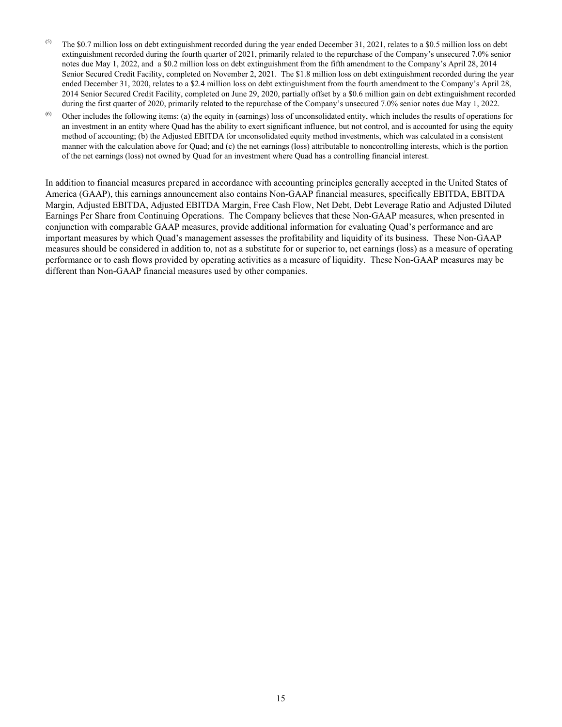- <sup>(5)</sup> The \$0.7 million loss on debt extinguishment recorded during the year ended December 31, 2021, relates to a \$0.5 million loss on debt extinguishment recorded during the fourth quarter of 2021, primarily related to the repurchase of the Company's unsecured 7.0% senior notes due May 1, 2022, and a \$0.2 million loss on debt extinguishment from the fifth amendment to the Company's April 28, 2014 Senior Secured Credit Facility, completed on November 2, 2021. The \$1.8 million loss on debt extinguishment recorded during the year ended December 31, 2020, relates to a \$2.4 million loss on debt extinguishment from the fourth amendment to the Company's April 28, 2014 Senior Secured Credit Facility, completed on June 29, 2020, partially offset by a \$0.6 million gain on debt extinguishment recorded during the first quarter of 2020, primarily related to the repurchase of the Company's unsecured 7.0% senior notes due May 1, 2022.
- $<sup>(6)</sup>$  Other includes the following items: (a) the equity in (earnings) loss of unconsolidated entity, which includes the results of operations for</sup> an investment in an entity where Quad has the ability to exert significant influence, but not control, and is accounted for using the equity method of accounting; (b) the Adjusted EBITDA for unconsolidated equity method investments, which was calculated in a consistent manner with the calculation above for Quad; and (c) the net earnings (loss) attributable to noncontrolling interests, which is the portion of the net earnings (loss) not owned by Quad for an investment where Quad has a controlling financial interest.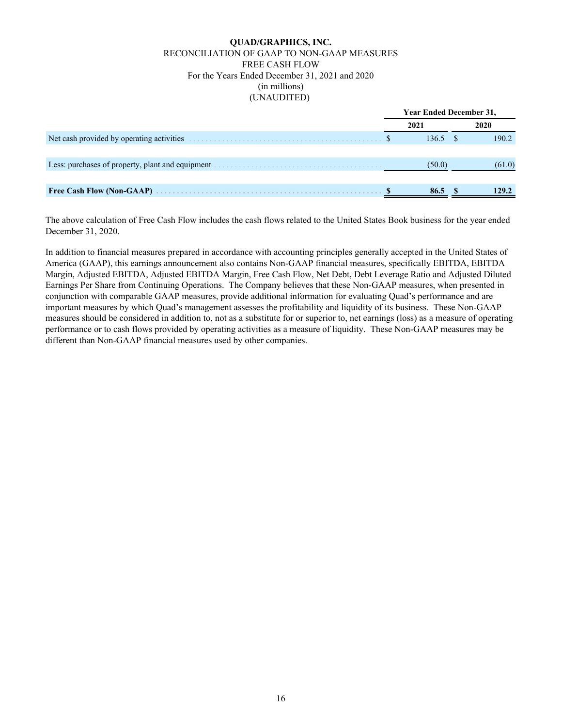#### **QUAD/GRAPHICS, INC.** RECONCILIATION OF GAAP TO NON-GAAP MEASURES FREE CASH FLOW For the Years Ended December 31, 2021 and 2020 (in millions) (UNAUDITED)

|                                                                                                              |  | <b>Year Ended December 31,</b> |  |        |
|--------------------------------------------------------------------------------------------------------------|--|--------------------------------|--|--------|
|                                                                                                              |  | 2021                           |  | 2020   |
| Net cash provided by operating activities                                                                    |  | 136.5                          |  | 190.2  |
|                                                                                                              |  |                                |  |        |
| Less: purchases of property, plant and equipment entertainment of the state of property, plant and equipment |  | (50.0)                         |  | (61.0) |
|                                                                                                              |  |                                |  |        |
| <b>Free Cash Flow (Non-GAAP)</b>                                                                             |  | 86.5                           |  | 129.2  |

The above calculation of Free Cash Flow includes the cash flows related to the United States Book business for the year ended December 31, 2020.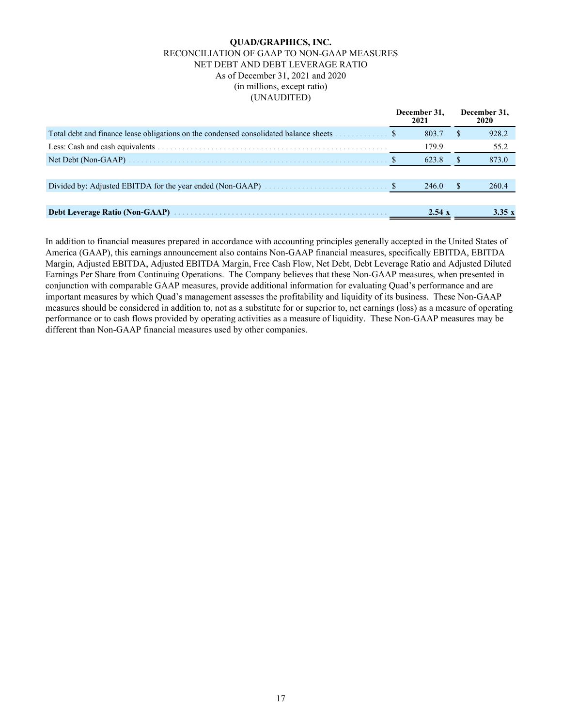#### **QUAD/GRAPHICS, INC.** RECONCILIATION OF GAAP TO NON-GAAP MEASURES NET DEBT AND DEBT LEVERAGE RATIO As of December 31, 2021 and 2020 (in millions, except ratio) (UNAUDITED)

|                                                                                                        | December 31.<br>2021 | December 31,<br>2020 |
|--------------------------------------------------------------------------------------------------------|----------------------|----------------------|
| Total debt and finance lease obligations on the condensed consolidated balance sheets <b>Section</b> 8 | 803.7                | 928.2                |
|                                                                                                        | 179.9                | 55.2                 |
|                                                                                                        | 623.8                | 873.0                |
|                                                                                                        |                      |                      |
|                                                                                                        | 246.0                | 260.4                |
|                                                                                                        |                      |                      |
|                                                                                                        | 2.54 x               | 3.35 $x$             |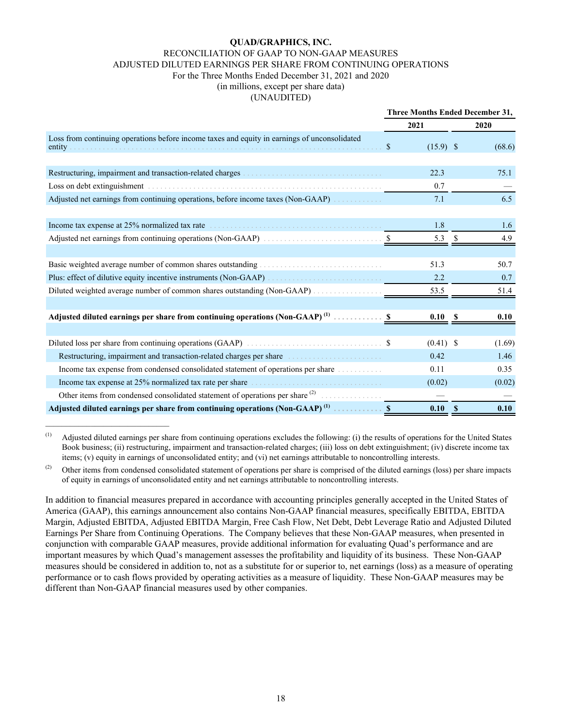#### **QUAD/GRAPHICS, INC.** RECONCILIATION OF GAAP TO NON-GAAP MEASURES ADJUSTED DILUTED EARNINGS PER SHARE FROM CONTINUING OPERATIONS For the Three Months Ended December 31, 2021 and 2020 (in millions, except per share data) (UNAUDITED)

|                                                                                                                                        | Three Months Ended December 31, |             |              |        |
|----------------------------------------------------------------------------------------------------------------------------------------|---------------------------------|-------------|--------------|--------|
|                                                                                                                                        |                                 | 2021        |              | 2020   |
| Loss from continuing operations before income taxes and equity in earnings of unconsolidated                                           | S.                              | $(15.9)$ \$ |              | (68.6) |
|                                                                                                                                        |                                 |             |              |        |
|                                                                                                                                        |                                 | 22.3        |              | 75.1   |
|                                                                                                                                        |                                 | 0.7         |              |        |
| Adjusted net earnings from continuing operations, before income taxes (Non-GAAP)                                                       |                                 | 7.1         |              | 6.5    |
|                                                                                                                                        |                                 |             |              |        |
|                                                                                                                                        |                                 | 1.8         |              | 1.6    |
|                                                                                                                                        |                                 | 5.3         |              | 4.9    |
|                                                                                                                                        |                                 |             |              |        |
| Basic weighted average number of common shares outstanding <i>manufacturers</i> of the state of the state of common shares outstanding |                                 | 51.3        |              | 50.7   |
| Plus: effect of dilutive equity incentive instruments (Non-GAAP)                                                                       |                                 | 2.2         |              | 0.7    |
|                                                                                                                                        |                                 | 53.5        |              | 51.4   |
|                                                                                                                                        |                                 |             |              |        |
| Adjusted diluted earnings per share from continuing operations (Non-GAAP) <sup>(1)</sup> \$                                            |                                 | 0.10        | -S           | 0.10   |
|                                                                                                                                        |                                 |             |              |        |
|                                                                                                                                        |                                 | $(0.41)$ \$ |              | (1.69) |
| Restructuring, impairment and transaction-related charges per share                                                                    |                                 | 0.42        |              | 1.46   |
| Income tax expense from condensed consolidated statement of operations per share                                                       |                                 | 0.11        |              | 0.35   |
| Income tax expense at 25% normalized tax rate per share experiences and the system of the system of the system.                        |                                 | (0.02)      |              | (0.02) |
| Other items from condensed consolidated statement of operations per share $^{(2)}$                                                     |                                 |             |              |        |
|                                                                                                                                        |                                 | 0.10        | $\mathbf{s}$ | 0.10   |

(1) Adjusted diluted earnings per share from continuing operations excludes the following: (i) the results of operations for the United States Book business; (ii) restructuring, impairment and transaction-related charges; (iii) loss on debt extinguishment; (iv) discrete income tax items; (v) equity in earnings of unconsolidated entity; and (vi) net earnings attributable to noncontrolling interests.

(2) Other items from condensed consolidated statement of operations per share is comprised of the diluted earnings (loss) per share impacts of equity in earnings of unconsolidated entity and net earnings attributable to noncontrolling interests.